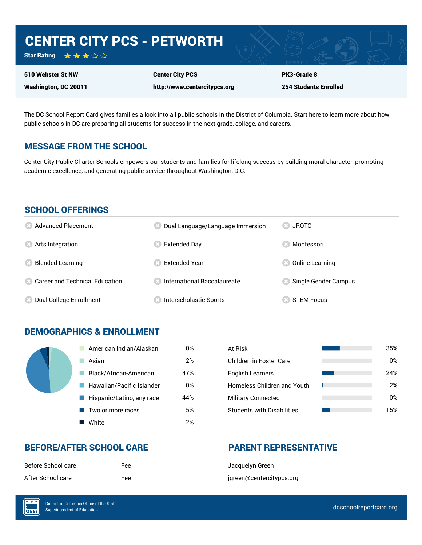# CENTER CITY PCS - PETWORTH

Star Rating ★★★☆☆

510 Webster St NW Washington, DC 20011

Center City PCS http://www.centercitypcs.org PK3-Grade 8 254 Students Enrolled

The DC School Report Card gives families a look into all public schools in the District of Columbia. Start here to learn more about how public schools in DC are preparing all students for success in the next grade, college, and careers.

## MESSAGE FROM THE SCHOOL

Center City Public Charter Schools empowers our students and families for lifelong success by building moral character, promoting academic excellence, and generating public service throughout Washington, D.C.

#### SCHOOL OFFERINGS

| <b>8</b> Advanced Placement       | Dual Language/Language Immersion | JROTC<br>CS)         |
|-----------------------------------|----------------------------------|----------------------|
| <b>8</b> Arts Integration         | Extended Day                     | Montessori           |
| <b>Blended Learning</b>           | <b>Extended Year</b>             | Online Learning      |
| 23 Career and Technical Education | ∣ International Baccalaureate    | Single Gender Campus |
| Dual College Enrollment           | Interscholastic Sports           | <b>STEM Focus</b>    |

## DEMOGRAPHICS & ENROLLMENT

| American Indian/Alaskan   | 0%  | At Risk                            |
|---------------------------|-----|------------------------------------|
| Asian                     | 2%  | <b>Children in Foster Care</b>     |
| Black/African-American    | 47% | <b>English Learners</b>            |
| Hawaiian/Pacific Islander | 0%  | <b>Homeless Children and Youth</b> |
| Hispanic/Latino, any race | 44% | <b>Military Connected</b>          |
| Two or more races         | 5%  | <b>Students with Disabilities</b>  |
| White                     | 2%  |                                    |

| At Risk                            | 35% |
|------------------------------------|-----|
| Children in Foster Care            | 0%  |
| <b>English Learners</b>            | 24% |
| <b>Homeless Children and Youth</b> | 2%  |
| <b>Military Connected</b>          | 0%  |
| <b>Students with Disabilities</b>  | 15% |

## BEFORE/AFTER SCHOOL CARE PARENT REPRESENTATIVE

| Before School care | Fee |
|--------------------|-----|
| After School care  | Fee |

Jacquelyn Green jgreen@centercitypcs.org

 $\overline{\text{OSE}}$